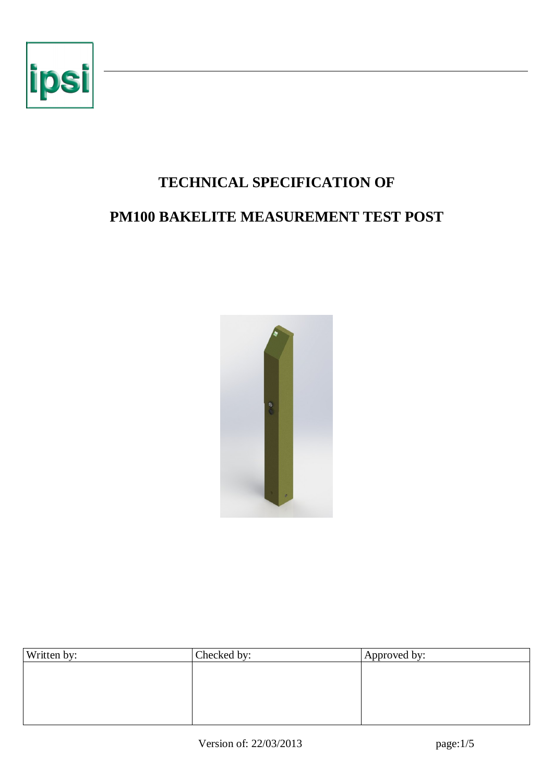

# **TECHNICAL SPECIFICATION OF PM100 BAKELITE MEASUREMENT TEST POST**



| Written by: | Checked by: | Approved by: |  |  |
|-------------|-------------|--------------|--|--|
|             |             |              |  |  |
|             |             |              |  |  |
|             |             |              |  |  |
|             |             |              |  |  |
|             |             |              |  |  |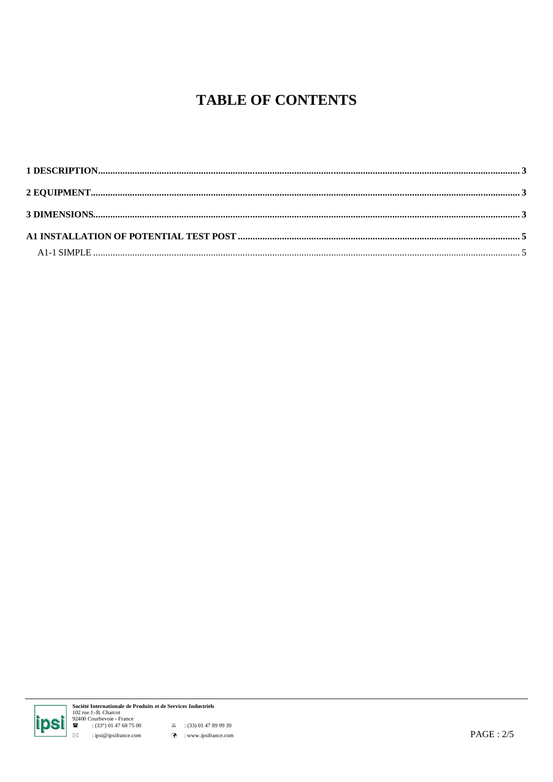## **TABLE OF CONTENTS**



**Société Internationale de Produits et de Services Industriels**<br>
102 rue J.-B. Charcot<br>
92400 Courbevoie - France<br>
(33°) 01 47 68 75 00 <br> **a** (33) 01 47 89 99 39<br>  $\therefore$  ipsi@ipsifrance.com<br> **a** : (33) 01 47 89 99 39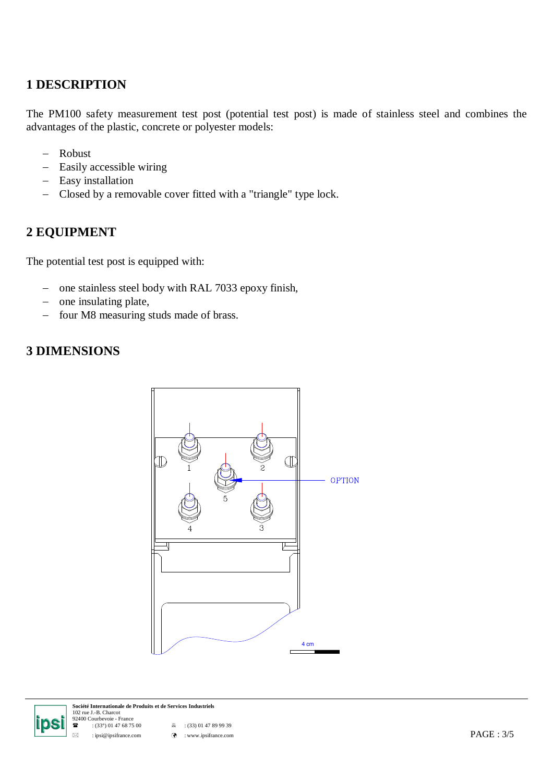#### **1 DESCRIPTION**

The PM100 safety measurement test post (potential test post) is made of stainless steel and combines the advantages of the plastic, concrete or polyester models:

- Robust
- Easily accessible wiring
- Easy installation
- Closed by a removable cover fitted with a "triangle" type lock.

#### **2 EQUIPMENT**

The potential test post is equipped with:

- one stainless steel body with RAL 7033 epoxy finish,
- one insulating plate,
- four M8 measuring studs made of brass.

#### **3 DIMENSIONS**





**Société Internationale de Produits et de Services Industriels** 102 rue J.-B. Charcot 92400 Courbevoie - France

:  $(33^{\circ})$  01 47 68 75 00  $\qquad \qquad \stackrel{\mathbb{R}}{=}$  :  $(33)$  01 47 89 99 39

: ipsi@ipsifrance.com : www.ipsifrance.com PAGE : 3/5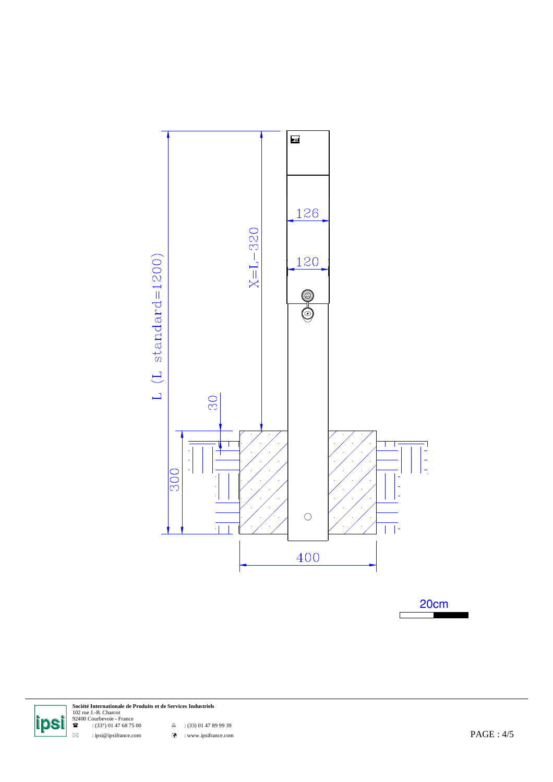

 $\frac{20 \text{cm}}{1}$ 



**Société Internationale de Produits et de Services Industriels<br>102 rue J.-B. Charcot<br>92400 Courbevoie - France<br><b>22** : (33°) 01 47 68 75 00 : (33) 01 47 89 99 39

 $\boxtimes$  : ipsi@ipsifrance.com  $\odot$  : www.ipsifrance.com  $\odot$  : www.ipsifrance.com  $PAGE : 4/5$